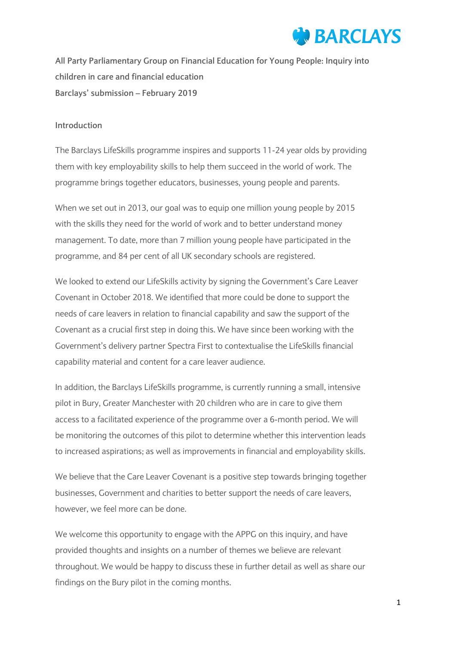

**All Party Parliamentary Group on Financial Education for Young People: Inquiry into children in care and financial education Barclays' submission – February 2019**

#### **Introduction**

The Barclays LifeSkills programme inspires and supports 11-24 year olds by providing them with key employability skills to help them succeed in the world of work. The programme brings together educators, businesses, young people and parents.

When we set out in 2013, our goal was to equip one million young people by 2015 with the skills they need for the world of work and to better understand money management. To date, more than 7 million young people have participated in the programme, and 84 per cent of all UK secondary schools are registered.

We looked to extend our LifeSkills activity by signing the Government's Care Leaver Covenant in October 2018. We identified that more could be done to support the needs of care leavers in relation to financial capability and saw the support of the Covenant as a crucial first step in doing this. We have since been working with the Government's delivery partner Spectra First to contextualise the LifeSkills financial capability material and content for a care leaver audience.

In addition, the Barclays LifeSkills programme, is currently running a small, intensive pilot in Bury, Greater Manchester with 20 children who are in care to give them access to a facilitated experience of the programme over a 6-month period. We will be monitoring the outcomes of this pilot to determine whether this intervention leads to increased aspirations; as well as improvements in financial and employability skills.

We believe that the Care Leaver Covenant is a positive step towards bringing together businesses, Government and charities to better support the needs of care leavers, however, we feel more can be done.

We welcome this opportunity to engage with the APPG on this inquiry, and have provided thoughts and insights on a number of themes we believe are relevant throughout. We would be happy to discuss these in further detail as well as share our findings on the Bury pilot in the coming months.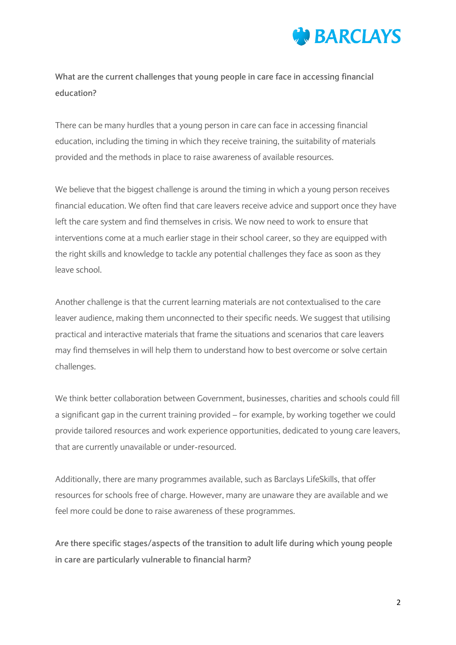

**What are the current challenges that young people in care face in accessing financial education?**

There can be many hurdles that a young person in care can face in accessing financial education, including the timing in which they receive training, the suitability of materials provided and the methods in place to raise awareness of available resources.

We believe that the biggest challenge is around the timing in which a young person receives financial education. We often find that care leavers receive advice and support once they have left the care system and find themselves in crisis. We now need to work to ensure that interventions come at a much earlier stage in their school career, so they are equipped with the right skills and knowledge to tackle any potential challenges they face as soon as they leave school.

Another challenge is that the current learning materials are not contextualised to the care leaver audience, making them unconnected to their specific needs. We suggest that utilising practical and interactive materials that frame the situations and scenarios that care leavers may find themselves in will help them to understand how to best overcome or solve certain challenges.

We think better collaboration between Government, businesses, charities and schools could fill a significant gap in the current training provided – for example, by working together we could provide tailored resources and work experience opportunities, dedicated to young care leavers, that are currently unavailable or under-resourced.

Additionally, there are many programmes available, such as Barclays LifeSkills, that offer resources for schools free of charge. However, many are unaware they are available and we feel more could be done to raise awareness of these programmes.

**Are there specific stages/aspects of the transition to adult life during which young people in care are particularly vulnerable to financial harm?**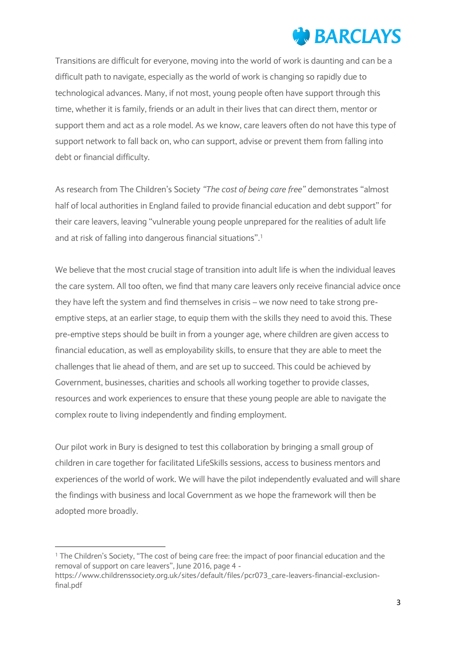## **WEARCLAYS**

Transitions are difficult for everyone, moving into the world of work is daunting and can be a difficult path to navigate, especially as the world of work is changing so rapidly due to technological advances. Many, if not most, young people often have support through this time, whether it is family, friends or an adult in their lives that can direct them, mentor or support them and act as a role model. As we know, care leavers often do not have this type of support network to fall back on, who can support, advise or prevent them from falling into debt or financial difficulty.

As research from The Children's Society *"The cost of being care free"* demonstrates "almost half of local authorities in England failed to provide financial education and debt support" for their care leavers, leaving "vulnerable young people unprepared for the realities of adult life and at risk of falling into dangerous financial situations".<sup>1</sup>

We believe that the most crucial stage of transition into adult life is when the individual leaves the care system. All too often, we find that many care leavers only receive financial advice once they have left the system and find themselves in crisis – we now need to take strong preemptive steps, at an earlier stage, to equip them with the skills they need to avoid this. These pre-emptive steps should be built in from a younger age, where children are given access to financial education, as well as employability skills, to ensure that they are able to meet the challenges that lie ahead of them, and are set up to succeed. This could be achieved by Government, businesses, charities and schools all working together to provide classes, resources and work experiences to ensure that these young people are able to navigate the complex route to living independently and finding employment.

Our pilot work in Bury is designed to test this collaboration by bringing a small group of children in care together for facilitated LifeSkills sessions, access to business mentors and experiences of the world of work. We will have the pilot independently evaluated and will share the findings with business and local Government as we hope the framework will then be adopted more broadly.

**.** 

<sup>&</sup>lt;sup>1</sup> The Children's Society, "The cost of being care free: the impact of poor financial education and the removal of support on care leavers", June 2016, page 4 -

https://www.childrenssociety.org.uk/sites/default/files/pcr073\_care-leavers-financial-exclusionfinal.pdf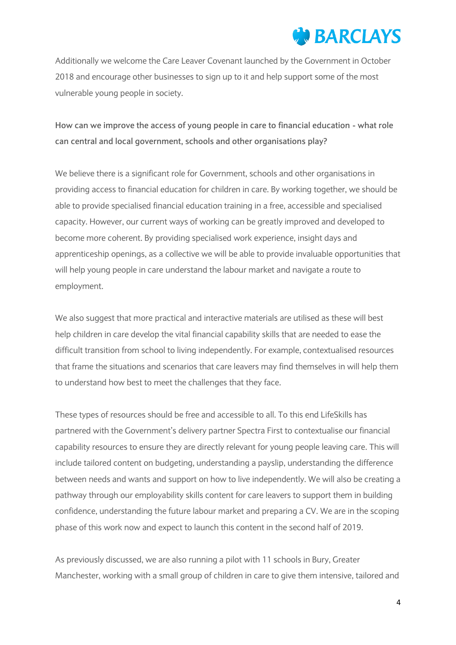### **BARCLAYS**

Additionally we welcome the Care Leaver Covenant launched by the Government in October 2018 and encourage other businesses to sign up to it and help support some of the most vulnerable young people in society.

**How can we improve the access of young people in care to financial education - what role can central and local government, schools and other organisations play?**

We believe there is a significant role for Government, schools and other organisations in providing access to financial education for children in care. By working together, we should be able to provide specialised financial education training in a free, accessible and specialised capacity. However, our current ways of working can be greatly improved and developed to become more coherent. By providing specialised work experience, insight days and apprenticeship openings, as a collective we will be able to provide invaluable opportunities that will help young people in care understand the labour market and navigate a route to employment.

We also suggest that more practical and interactive materials are utilised as these will best help children in care develop the vital financial capability skills that are needed to ease the difficult transition from school to living independently. For example, contextualised resources that frame the situations and scenarios that care leavers may find themselves in will help them to understand how best to meet the challenges that they face.

These types of resources should be free and accessible to all. To this end LifeSkills has partnered with the Government's delivery partner Spectra First to contextualise our financial capability resources to ensure they are directly relevant for young people leaving care. This will include tailored content on budgeting, understanding a payslip, understanding the difference between needs and wants and support on how to live independently. We will also be creating a pathway through our employability skills content for care leavers to support them in building confidence, understanding the future labour market and preparing a CV. We are in the scoping phase of this work now and expect to launch this content in the second half of 2019.

As previously discussed, we are also running a pilot with 11 schools in Bury, Greater Manchester, working with a small group of children in care to give them intensive, tailored and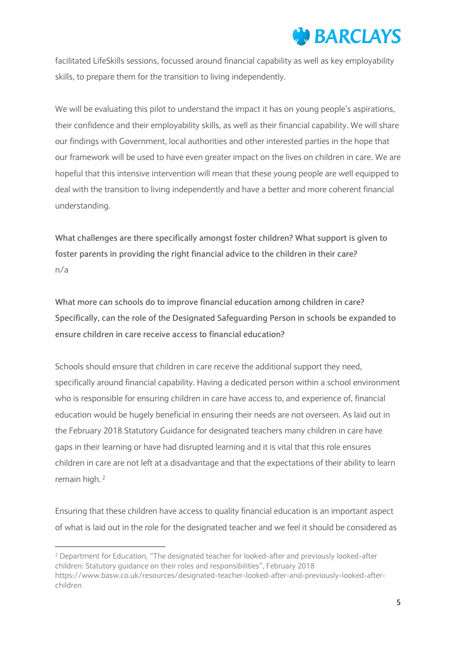## **WEBARCLAYS**

facilitated LifeSkills sessions, focussed around financial capability as well as key employability skills, to prepare them for the transition to living independently.

We will be evaluating this pilot to understand the impact it has on young people's aspirations, their confidence and their employability skills, as well as their financial capability. We will share our findings with Government, local authorities and other interested parties in the hope that our framework will be used to have even greater impact on the lives on children in care. We are hopeful that this intensive intervention will mean that these young people are well equipped to deal with the transition to living independently and have a better and more coherent financial understanding.

**What challenges are there specifically amongst foster children? What support is given to foster parents in providing the right financial advice to the children in their care?** n/a

**What more can schools do to improve financial education among children in care? Specifically, can the role of the Designated Safeguarding Person in schools be expanded to ensure children in care receive access to financial education?**

Schools should ensure that children in care receive the additional support they need, specifically around financial capability. Having a dedicated person within a school environment who is responsible for ensuring children in care have access to, and experience of, financial education would be hugely beneficial in ensuring their needs are not overseen. As laid out in the February 2018 Statutory Guidance for designated teachers many children in care have gaps in their learning or have had disrupted learning and it is vital that this role ensures children in care are not left at a disadvantage and that the expectations of their ability to learn remain high. 2

Ensuring that these children have access to quality financial education is an important aspect of what is laid out in the role for the designated teacher and we feel it should be considered as

**.** 

<sup>2</sup> Department for Education, "The designated teacher for looked-after and previously looked-after children: Statutory guidance on their roles and responsibilities", February 2018 https://www.basw.co.uk/resources/designated-teacher-looked-after-and-previously-looked-afterchildren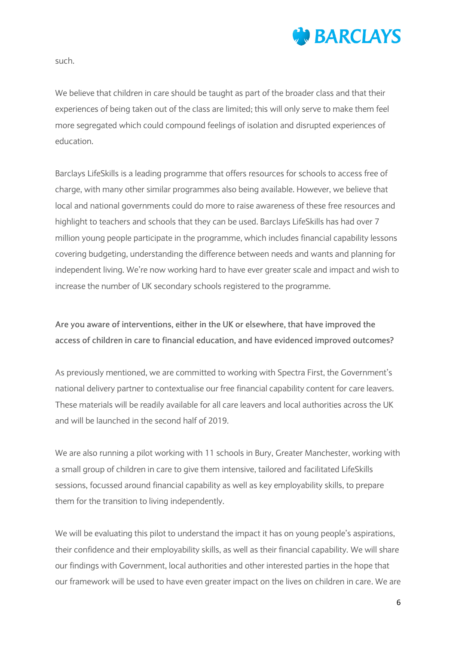

such.

We believe that children in care should be taught as part of the broader class and that their experiences of being taken out of the class are limited; this will only serve to make them feel more segregated which could compound feelings of isolation and disrupted experiences of education.

Barclays LifeSkills is a leading programme that offers resources for schools to access free of charge, with many other similar programmes also being available. However, we believe that local and national governments could do more to raise awareness of these free resources and highlight to teachers and schools that they can be used. Barclays LifeSkills has had over 7 million young people participate in the programme, which includes financial capability lessons covering budgeting, understanding the difference between needs and wants and planning for independent living. We're now working hard to have ever greater scale and impact and wish to increase the number of UK secondary schools registered to the programme.

#### **Are you aware of interventions, either in the UK or elsewhere, that have improved the access of children in care to financial education, and have evidenced improved outcomes?**

As previously mentioned, we are committed to working with Spectra First, the Government's national delivery partner to contextualise our free financial capability content for care leavers. These materials will be readily available for all care leavers and local authorities across the UK and will be launched in the second half of 2019.

We are also running a pilot working with 11 schools in Bury, Greater Manchester, working with a small group of children in care to give them intensive, tailored and facilitated LifeSkills sessions, focussed around financial capability as well as key employability skills, to prepare them for the transition to living independently.

We will be evaluating this pilot to understand the impact it has on young people's aspirations, their confidence and their employability skills, as well as their financial capability. We will share our findings with Government, local authorities and other interested parties in the hope that our framework will be used to have even greater impact on the lives on children in care. We are